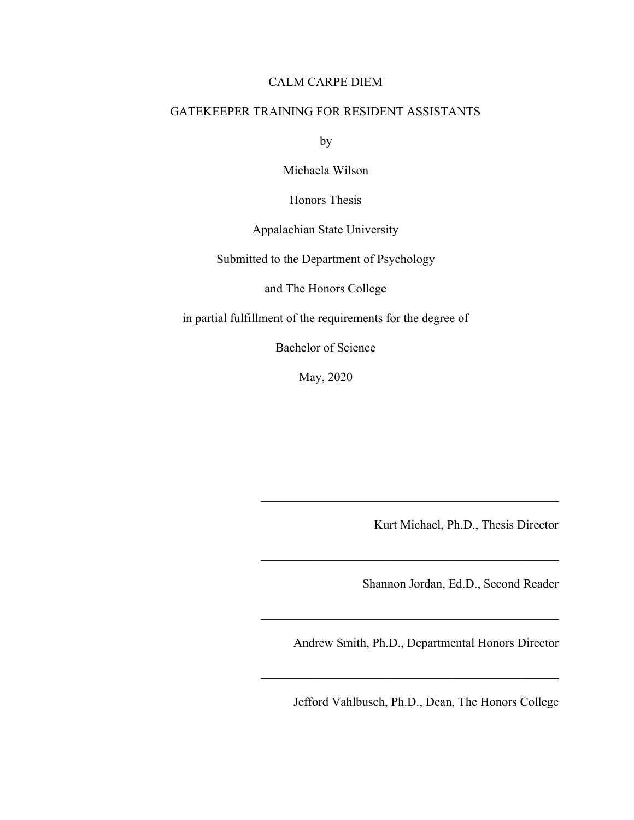## CALM CARPE DIEM

## GATEKEEPER TRAINING FOR RESIDENT ASSISTANTS

by

Michaela Wilson

Honors Thesis

Appalachian State University

Submitted to the Department of Psychology

and The Honors College

in partial fulfillment of the requirements for the degree of

Bachelor of Science

May, 2020

Kurt Michael, Ph.D., Thesis Director

Shannon Jordan, Ed.D., Second Reader

Andrew Smith, Ph.D., Departmental Honors Director

 $\mathcal{L}_\text{max}$  , and the contract of the contract of the contract of the contract of the contract of the contract of the contract of the contract of the contract of the contract of the contract of the contract of the contr

 $\mathcal{L}_\text{max}$  , and the contract of the contract of the contract of the contract of the contract of the contract of the contract of the contract of the contract of the contract of the contract of the contract of the contr

 $\mathcal{L}_\text{max}$  , and the contract of the contract of the contract of the contract of the contract of the contract of the contract of the contract of the contract of the contract of the contract of the contract of the contr

 $\mathcal{L}_\text{max}$  , and the contract of the contract of the contract of the contract of the contract of the contract of the contract of the contract of the contract of the contract of the contract of the contract of the contr

Jefford Vahlbusch, Ph.D., Dean, The Honors College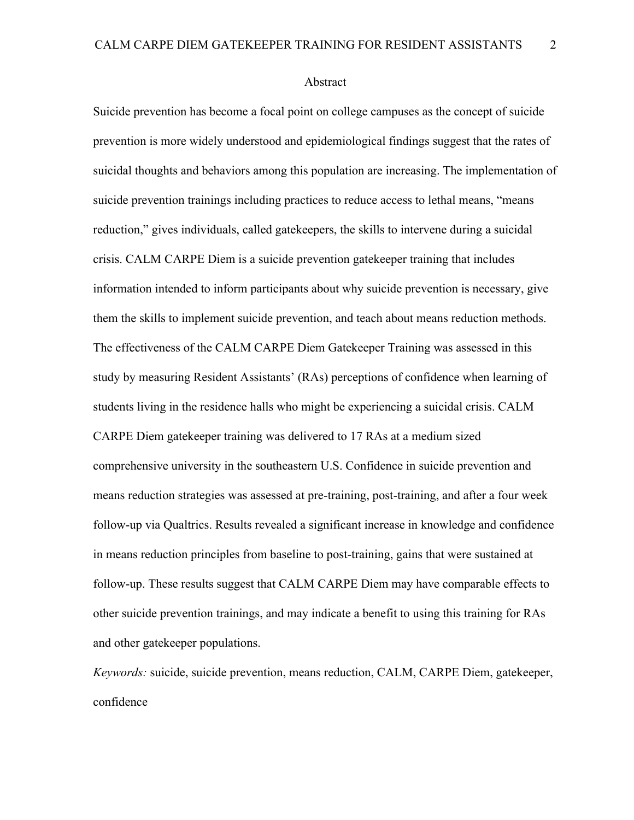Abstract

Suicide prevention has become a focal point on college campuses as the concept of suicide prevention is more widely understood and epidemiological findings suggest that the rates of suicidal thoughts and behaviors among this population are increasing. The implementation of suicide prevention trainings including practices to reduce access to lethal means, "means reduction," gives individuals, called gatekeepers, the skills to intervene during a suicidal crisis. CALM CARPE Diem is a suicide prevention gatekeeper training that includes information intended to inform participants about why suicide prevention is necessary, give them the skills to implement suicide prevention, and teach about means reduction methods. The effectiveness of the CALM CARPE Diem Gatekeeper Training was assessed in this study by measuring Resident Assistants' (RAs) perceptions of confidence when learning of students living in the residence halls who might be experiencing a suicidal crisis. CALM CARPE Diem gatekeeper training was delivered to 17 RAs at a medium sized comprehensive university in the southeastern U.S. Confidence in suicide prevention and means reduction strategies was assessed at pre-training, post-training, and after a four week follow-up via Qualtrics. Results revealed a significant increase in knowledge and confidence in means reduction principles from baseline to post-training, gains that were sustained at follow-up. These results suggest that CALM CARPE Diem may have comparable effects to other suicide prevention trainings, and may indicate a benefit to using this training for RAs and other gatekeeper populations.

*Keywords:* suicide, suicide prevention, means reduction, CALM, CARPE Diem, gatekeeper, confidence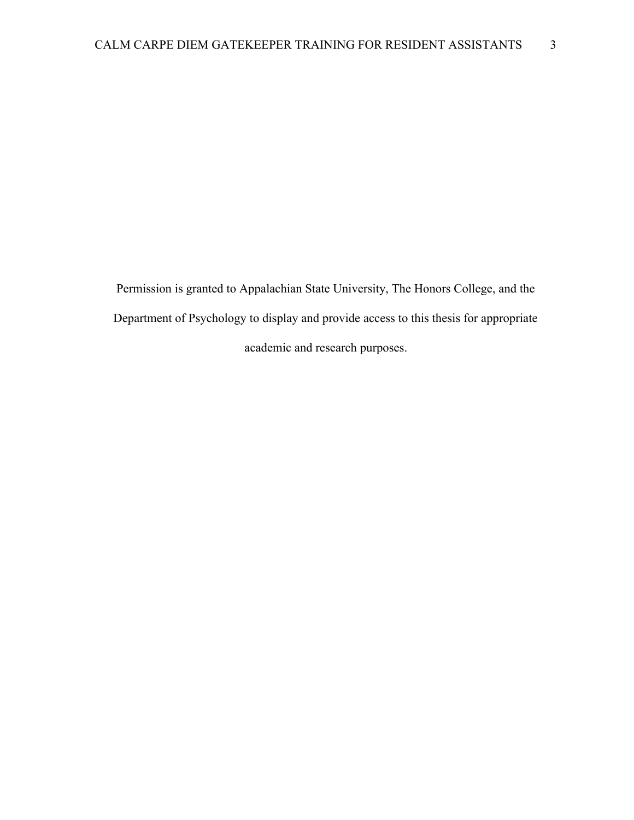Permission is granted to Appalachian State University, The Honors College, and the Department of Psychology to display and provide access to this thesis for appropriate academic and research purposes.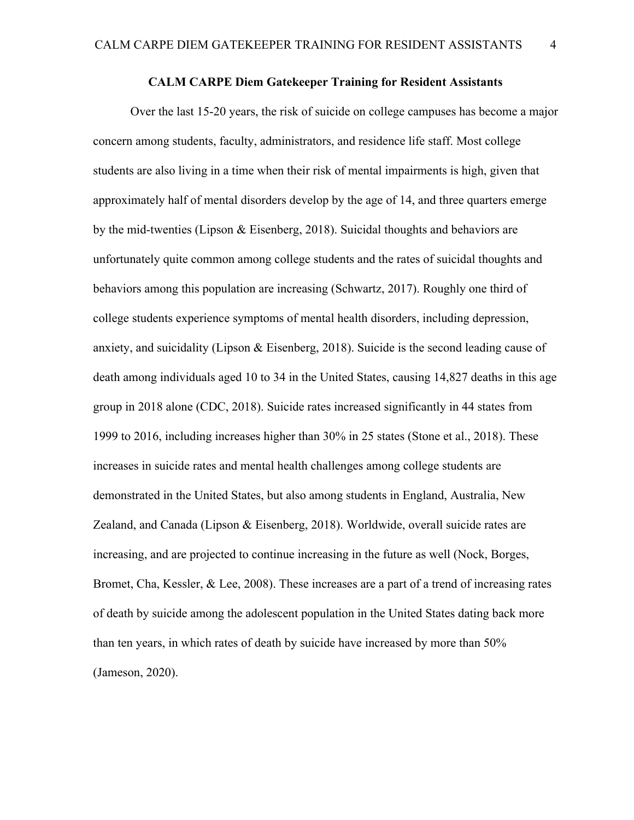## **CALM CARPE Diem Gatekeeper Training for Resident Assistants**

Over the last 15-20 years, the risk of suicide on college campuses has become a major concern among students, faculty, administrators, and residence life staff. Most college students are also living in a time when their risk of mental impairments is high, given that approximately half of mental disorders develop by the age of 14, and three quarters emerge by the mid-twenties (Lipson & Eisenberg, 2018). Suicidal thoughts and behaviors are unfortunately quite common among college students and the rates of suicidal thoughts and behaviors among this population are increasing (Schwartz, 2017). Roughly one third of college students experience symptoms of mental health disorders, including depression, anxiety, and suicidality (Lipson & Eisenberg, 2018). Suicide is the second leading cause of death among individuals aged 10 to 34 in the United States, causing 14,827 deaths in this age group in 2018 alone (CDC, 2018). Suicide rates increased significantly in 44 states from 1999 to 2016, including increases higher than 30% in 25 states (Stone et al., 2018). These increases in suicide rates and mental health challenges among college students are demonstrated in the United States, but also among students in England, Australia, New Zealand, and Canada (Lipson & Eisenberg, 2018). Worldwide, overall suicide rates are increasing, and are projected to continue increasing in the future as well (Nock, Borges, Bromet, Cha, Kessler, & Lee, 2008). These increases are a part of a trend of increasing rates of death by suicide among the adolescent population in the United States dating back more than ten years, in which rates of death by suicide have increased by more than 50% (Jameson, 2020).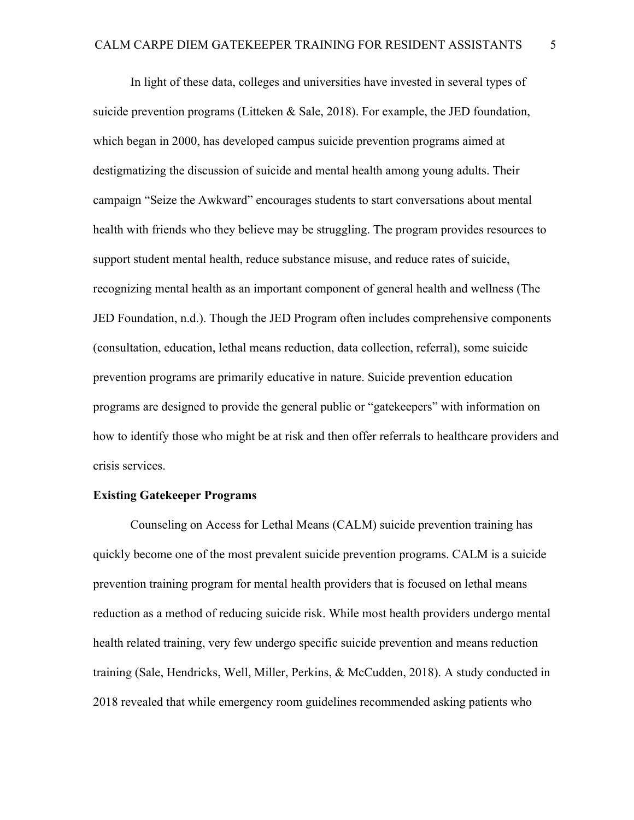In light of these data, colleges and universities have invested in several types of suicide prevention programs (Litteken & Sale, 2018). For example, the JED foundation, which began in 2000, has developed campus suicide prevention programs aimed at destigmatizing the discussion of suicide and mental health among young adults. Their campaign "Seize the Awkward" encourages students to start conversations about mental health with friends who they believe may be struggling. The program provides resources to support student mental health, reduce substance misuse, and reduce rates of suicide, recognizing mental health as an important component of general health and wellness (The JED Foundation, n.d.). Though the JED Program often includes comprehensive components (consultation, education, lethal means reduction, data collection, referral), some suicide prevention programs are primarily educative in nature. Suicide prevention education programs are designed to provide the general public or "gatekeepers" with information on how to identify those who might be at risk and then offer referrals to healthcare providers and crisis services.

#### **Existing Gatekeeper Programs**

Counseling on Access for Lethal Means (CALM) suicide prevention training has quickly become one of the most prevalent suicide prevention programs. CALM is a suicide prevention training program for mental health providers that is focused on lethal means reduction as a method of reducing suicide risk. While most health providers undergo mental health related training, very few undergo specific suicide prevention and means reduction training (Sale, Hendricks, Well, Miller, Perkins, & McCudden, 2018). A study conducted in 2018 revealed that while emergency room guidelines recommended asking patients who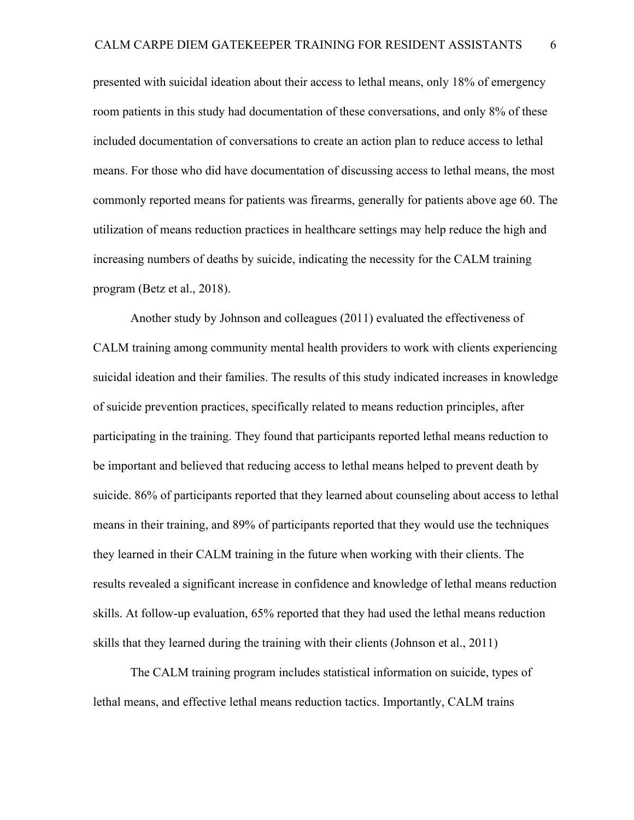presented with suicidal ideation about their access to lethal means, only 18% of emergency room patients in this study had documentation of these conversations, and only 8% of these included documentation of conversations to create an action plan to reduce access to lethal means. For those who did have documentation of discussing access to lethal means, the most commonly reported means for patients was firearms, generally for patients above age 60. The utilization of means reduction practices in healthcare settings may help reduce the high and increasing numbers of deaths by suicide, indicating the necessity for the CALM training program (Betz et al., 2018).

Another study by Johnson and colleagues (2011) evaluated the effectiveness of CALM training among community mental health providers to work with clients experiencing suicidal ideation and their families. The results of this study indicated increases in knowledge of suicide prevention practices, specifically related to means reduction principles, after participating in the training. They found that participants reported lethal means reduction to be important and believed that reducing access to lethal means helped to prevent death by suicide. 86% of participants reported that they learned about counseling about access to lethal means in their training, and 89% of participants reported that they would use the techniques they learned in their CALM training in the future when working with their clients. The results revealed a significant increase in confidence and knowledge of lethal means reduction skills. At follow-up evaluation, 65% reported that they had used the lethal means reduction skills that they learned during the training with their clients (Johnson et al., 2011)

The CALM training program includes statistical information on suicide, types of lethal means, and effective lethal means reduction tactics. Importantly, CALM trains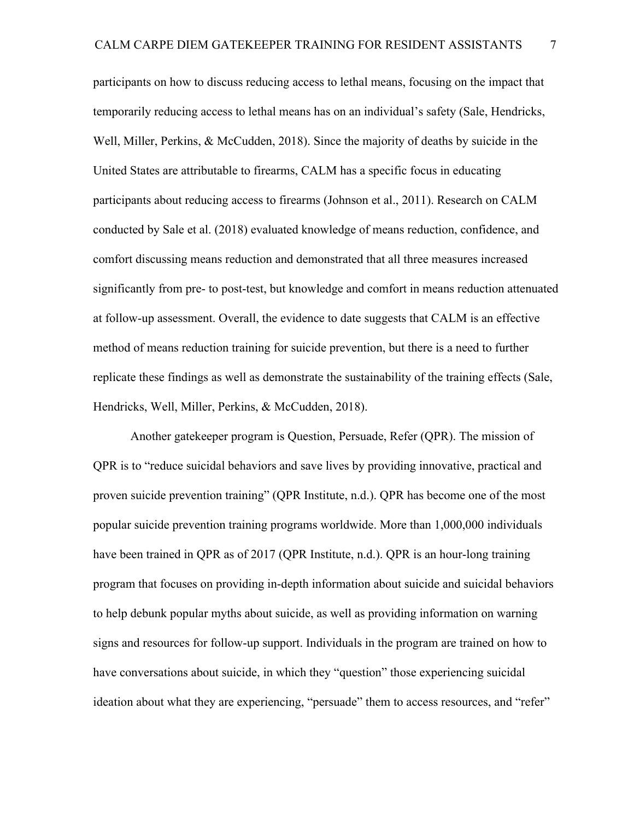participants on how to discuss reducing access to lethal means, focusing on the impact that temporarily reducing access to lethal means has on an individual's safety (Sale, Hendricks, Well, Miller, Perkins, & McCudden, 2018). Since the majority of deaths by suicide in the United States are attributable to firearms, CALM has a specific focus in educating participants about reducing access to firearms (Johnson et al., 2011). Research on CALM conducted by Sale et al. (2018) evaluated knowledge of means reduction, confidence, and comfort discussing means reduction and demonstrated that all three measures increased significantly from pre- to post-test, but knowledge and comfort in means reduction attenuated at follow-up assessment. Overall, the evidence to date suggests that CALM is an effective method of means reduction training for suicide prevention, but there is a need to further replicate these findings as well as demonstrate the sustainability of the training effects (Sale, Hendricks, Well, Miller, Perkins, & McCudden, 2018).

Another gatekeeper program is Question, Persuade, Refer (QPR). The mission of QPR is to "reduce suicidal behaviors and save lives by providing innovative, practical and proven suicide prevention training" (QPR Institute, n.d.). QPR has become one of the most popular suicide prevention training programs worldwide. More than 1,000,000 individuals have been trained in QPR as of 2017 (QPR Institute, n.d.). QPR is an hour-long training program that focuses on providing in-depth information about suicide and suicidal behaviors to help debunk popular myths about suicide, as well as providing information on warning signs and resources for follow-up support. Individuals in the program are trained on how to have conversations about suicide, in which they "question" those experiencing suicidal ideation about what they are experiencing, "persuade" them to access resources, and "refer"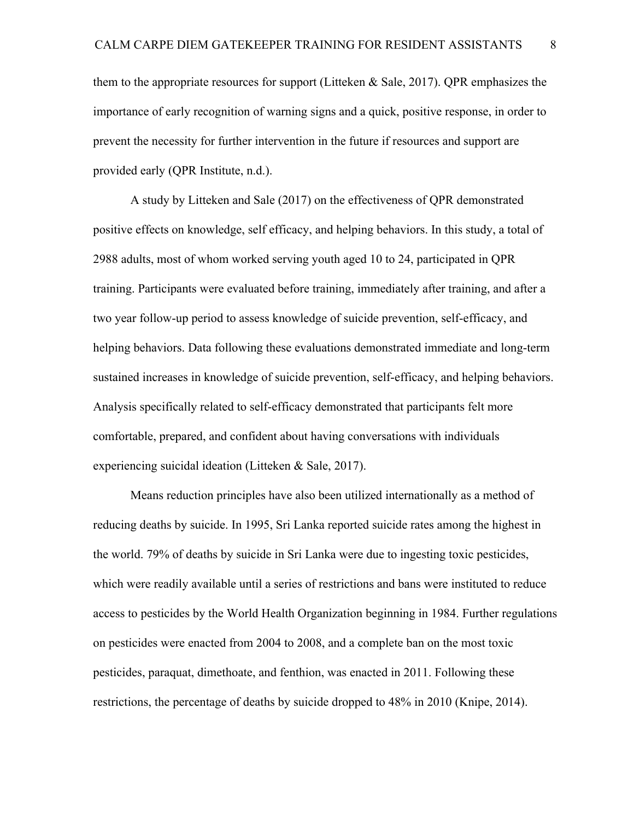them to the appropriate resources for support (Litteken  $\&$  Sale, 2017). QPR emphasizes the importance of early recognition of warning signs and a quick, positive response, in order to prevent the necessity for further intervention in the future if resources and support are provided early (QPR Institute, n.d.).

A study by Litteken and Sale (2017) on the effectiveness of QPR demonstrated positive effects on knowledge, self efficacy, and helping behaviors. In this study, a total of 2988 adults, most of whom worked serving youth aged 10 to 24, participated in QPR training. Participants were evaluated before training, immediately after training, and after a two year follow-up period to assess knowledge of suicide prevention, self-efficacy, and helping behaviors. Data following these evaluations demonstrated immediate and long-term sustained increases in knowledge of suicide prevention, self-efficacy, and helping behaviors. Analysis specifically related to self-efficacy demonstrated that participants felt more comfortable, prepared, and confident about having conversations with individuals experiencing suicidal ideation (Litteken & Sale, 2017).

Means reduction principles have also been utilized internationally as a method of reducing deaths by suicide. In 1995, Sri Lanka reported suicide rates among the highest in the world. 79% of deaths by suicide in Sri Lanka were due to ingesting toxic pesticides, which were readily available until a series of restrictions and bans were instituted to reduce access to pesticides by the World Health Organization beginning in 1984. Further regulations on pesticides were enacted from 2004 to 2008, and a complete ban on the most toxic pesticides, paraquat, dimethoate, and fenthion, was enacted in 2011. Following these restrictions, the percentage of deaths by suicide dropped to 48% in 2010 (Knipe, 2014).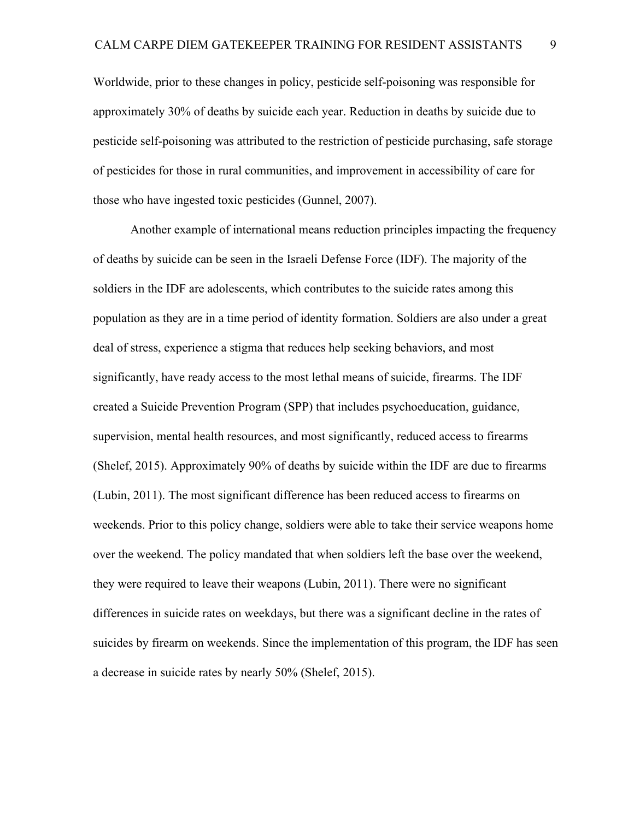Worldwide, prior to these changes in policy, pesticide self-poisoning was responsible for approximately 30% of deaths by suicide each year. Reduction in deaths by suicide due to pesticide self-poisoning was attributed to the restriction of pesticide purchasing, safe storage of pesticides for those in rural communities, and improvement in accessibility of care for those who have ingested toxic pesticides (Gunnel, 2007).

Another example of international means reduction principles impacting the frequency of deaths by suicide can be seen in the Israeli Defense Force (IDF). The majority of the soldiers in the IDF are adolescents, which contributes to the suicide rates among this population as they are in a time period of identity formation. Soldiers are also under a great deal of stress, experience a stigma that reduces help seeking behaviors, and most significantly, have ready access to the most lethal means of suicide, firearms. The IDF created a Suicide Prevention Program (SPP) that includes psychoeducation, guidance, supervision, mental health resources, and most significantly, reduced access to firearms (Shelef, 2015). Approximately 90% of deaths by suicide within the IDF are due to firearms (Lubin, 2011). The most significant difference has been reduced access to firearms on weekends. Prior to this policy change, soldiers were able to take their service weapons home over the weekend. The policy mandated that when soldiers left the base over the weekend, they were required to leave their weapons (Lubin, 2011). There were no significant differences in suicide rates on weekdays, but there was a significant decline in the rates of suicides by firearm on weekends. Since the implementation of this program, the IDF has seen a decrease in suicide rates by nearly 50% (Shelef, 2015).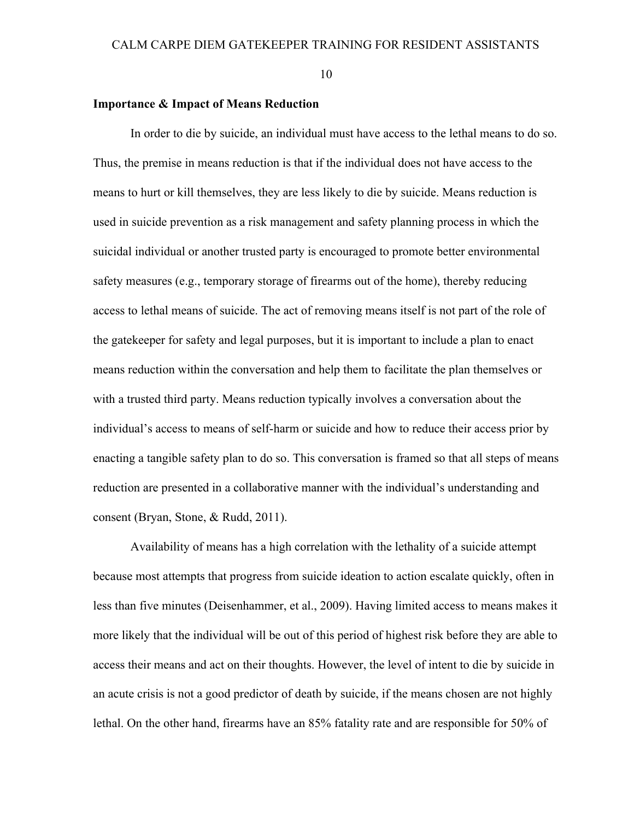#### **Importance & Impact of Means Reduction**

In order to die by suicide, an individual must have access to the lethal means to do so. Thus, the premise in means reduction is that if the individual does not have access to the means to hurt or kill themselves, they are less likely to die by suicide. Means reduction is used in suicide prevention as a risk management and safety planning process in which the suicidal individual or another trusted party is encouraged to promote better environmental safety measures (e.g., temporary storage of firearms out of the home), thereby reducing access to lethal means of suicide. The act of removing means itself is not part of the role of the gatekeeper for safety and legal purposes, but it is important to include a plan to enact means reduction within the conversation and help them to facilitate the plan themselves or with a trusted third party. Means reduction typically involves a conversation about the individual's access to means of self-harm or suicide and how to reduce their access prior by enacting a tangible safety plan to do so. This conversation is framed so that all steps of means reduction are presented in a collaborative manner with the individual's understanding and consent (Bryan, Stone, & Rudd, 2011).

Availability of means has a high correlation with the lethality of a suicide attempt because most attempts that progress from suicide ideation to action escalate quickly, often in less than five minutes (Deisenhammer, et al., 2009). Having limited access to means makes it more likely that the individual will be out of this period of highest risk before they are able to access their means and act on their thoughts. However, the level of intent to die by suicide in an acute crisis is not a good predictor of death by suicide, if the means chosen are not highly lethal. On the other hand, firearms have an 85% fatality rate and are responsible for 50% of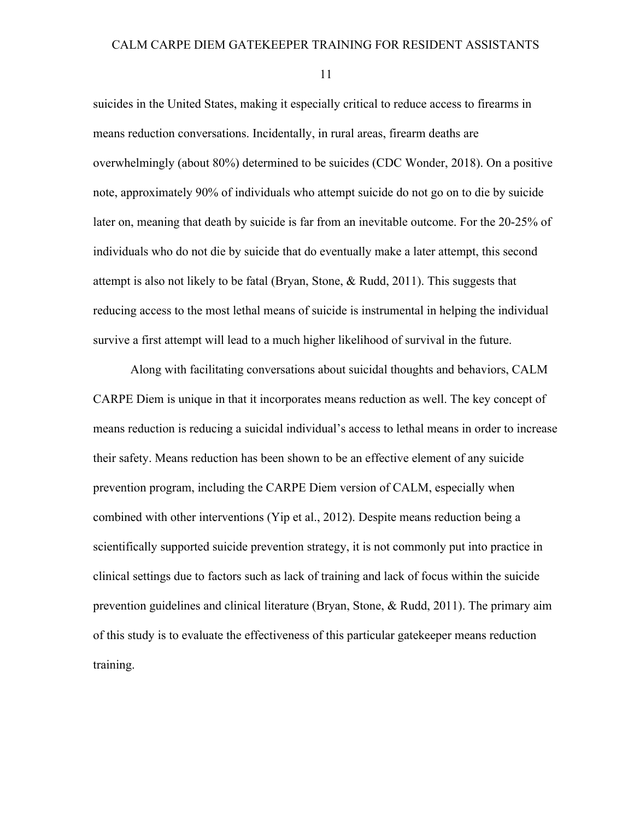suicides in the United States, making it especially critical to reduce access to firearms in means reduction conversations. Incidentally, in rural areas, firearm deaths are overwhelmingly (about 80%) determined to be suicides (CDC Wonder, 2018). On a positive note, approximately 90% of individuals who attempt suicide do not go on to die by suicide later on, meaning that death by suicide is far from an inevitable outcome. For the 20-25% of individuals who do not die by suicide that do eventually make a later attempt, this second attempt is also not likely to be fatal (Bryan, Stone,  $\&$  Rudd, 2011). This suggests that reducing access to the most lethal means of suicide is instrumental in helping the individual survive a first attempt will lead to a much higher likelihood of survival in the future.

Along with facilitating conversations about suicidal thoughts and behaviors, CALM CARPE Diem is unique in that it incorporates means reduction as well. The key concept of means reduction is reducing a suicidal individual's access to lethal means in order to increase their safety. Means reduction has been shown to be an effective element of any suicide prevention program, including the CARPE Diem version of CALM, especially when combined with other interventions (Yip et al., 2012). Despite means reduction being a scientifically supported suicide prevention strategy, it is not commonly put into practice in clinical settings due to factors such as lack of training and lack of focus within the suicide prevention guidelines and clinical literature (Bryan, Stone, & Rudd, 2011). The primary aim of this study is to evaluate the effectiveness of this particular gatekeeper means reduction training.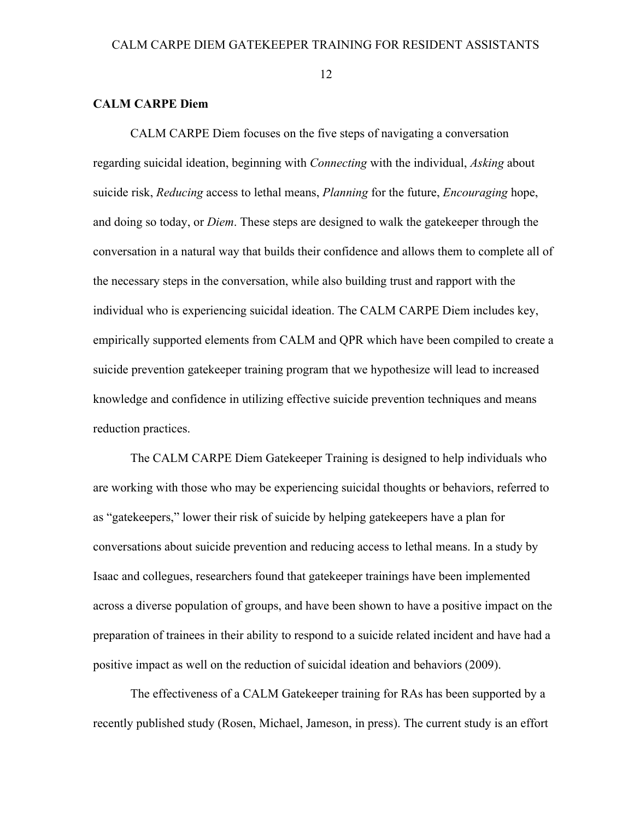## **CALM CARPE Diem**

CALM CARPE Diem focuses on the five steps of navigating a conversation regarding suicidal ideation, beginning with *Connecting* with the individual, *Asking* about suicide risk, *Reducing* access to lethal means, *Planning* for the future, *Encouraging* hope, and doing so today, or *Diem*. These steps are designed to walk the gatekeeper through the conversation in a natural way that builds their confidence and allows them to complete all of the necessary steps in the conversation, while also building trust and rapport with the individual who is experiencing suicidal ideation. The CALM CARPE Diem includes key, empirically supported elements from CALM and QPR which have been compiled to create a suicide prevention gatekeeper training program that we hypothesize will lead to increased knowledge and confidence in utilizing effective suicide prevention techniques and means reduction practices.

The CALM CARPE Diem Gatekeeper Training is designed to help individuals who are working with those who may be experiencing suicidal thoughts or behaviors, referred to as "gatekeepers," lower their risk of suicide by helping gatekeepers have a plan for conversations about suicide prevention and reducing access to lethal means. In a study by Isaac and collegues, researchers found that gatekeeper trainings have been implemented across a diverse population of groups, and have been shown to have a positive impact on the preparation of trainees in their ability to respond to a suicide related incident and have had a positive impact as well on the reduction of suicidal ideation and behaviors (2009).

The effectiveness of a CALM Gatekeeper training for RAs has been supported by a recently published study (Rosen, Michael, Jameson, in press). The current study is an effort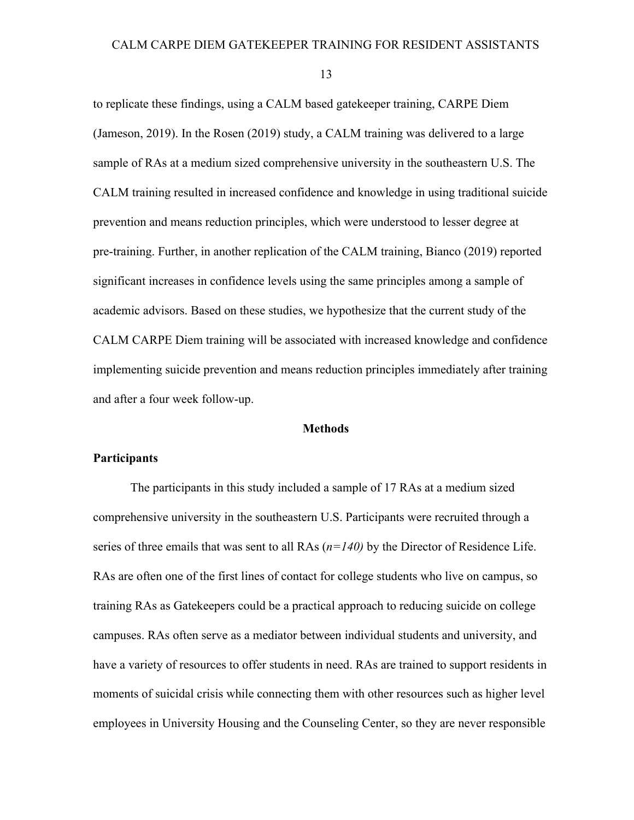to replicate these findings, using a CALM based gatekeeper training, CARPE Diem (Jameson, 2019). In the Rosen (2019) study, a CALM training was delivered to a large sample of RAs at a medium sized comprehensive university in the southeastern U.S. The CALM training resulted in increased confidence and knowledge in using traditional suicide prevention and means reduction principles, which were understood to lesser degree at pre-training. Further, in another replication of the CALM training, Bianco (2019) reported significant increases in confidence levels using the same principles among a sample of academic advisors. Based on these studies, we hypothesize that the current study of the CALM CARPE Diem training will be associated with increased knowledge and confidence implementing suicide prevention and means reduction principles immediately after training and after a four week follow-up.

#### **Methods**

#### **Participants**

The participants in this study included a sample of 17 RAs at a medium sized comprehensive university in the southeastern U.S. Participants were recruited through a series of three emails that was sent to all RAs (*n=140)* by the Director of Residence Life. RAs are often one of the first lines of contact for college students who live on campus, so training RAs as Gatekeepers could be a practical approach to reducing suicide on college campuses. RAs often serve as a mediator between individual students and university, and have a variety of resources to offer students in need. RAs are trained to support residents in moments of suicidal crisis while connecting them with other resources such as higher level employees in University Housing and the Counseling Center, so they are never responsible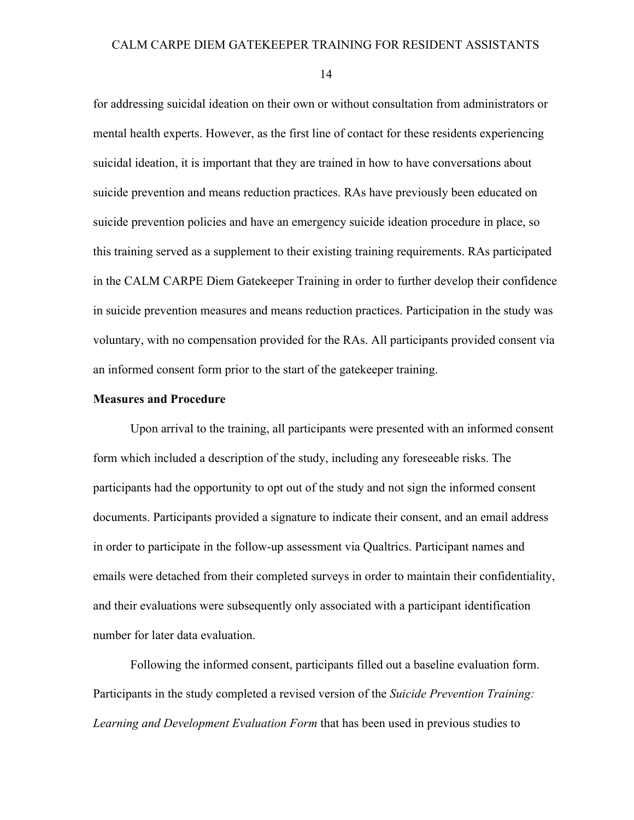for addressing suicidal ideation on their own or without consultation from administrators or mental health experts. However, as the first line of contact for these residents experiencing suicidal ideation, it is important that they are trained in how to have conversations about suicide prevention and means reduction practices. RAs have previously been educated on suicide prevention policies and have an emergency suicide ideation procedure in place, so this training served as a supplement to their existing training requirements. RAs participated in the CALM CARPE Diem Gatekeeper Training in order to further develop their confidence in suicide prevention measures and means reduction practices. Participation in the study was voluntary, with no compensation provided for the RAs. All participants provided consent via an informed consent form prior to the start of the gatekeeper training.

#### **Measures and Procedure**

Upon arrival to the training, all participants were presented with an informed consent form which included a description of the study, including any foreseeable risks. The participants had the opportunity to opt out of the study and not sign the informed consent documents. Participants provided a signature to indicate their consent, and an email address in order to participate in the follow-up assessment via Qualtrics. Participant names and emails were detached from their completed surveys in order to maintain their confidentiality, and their evaluations were subsequently only associated with a participant identification number for later data evaluation.

Following the informed consent, participants filled out a baseline evaluation form. Participants in the study completed a revised version of the *Suicide Prevention Training: Learning and Development Evaluation Form* that has been used in previous studies to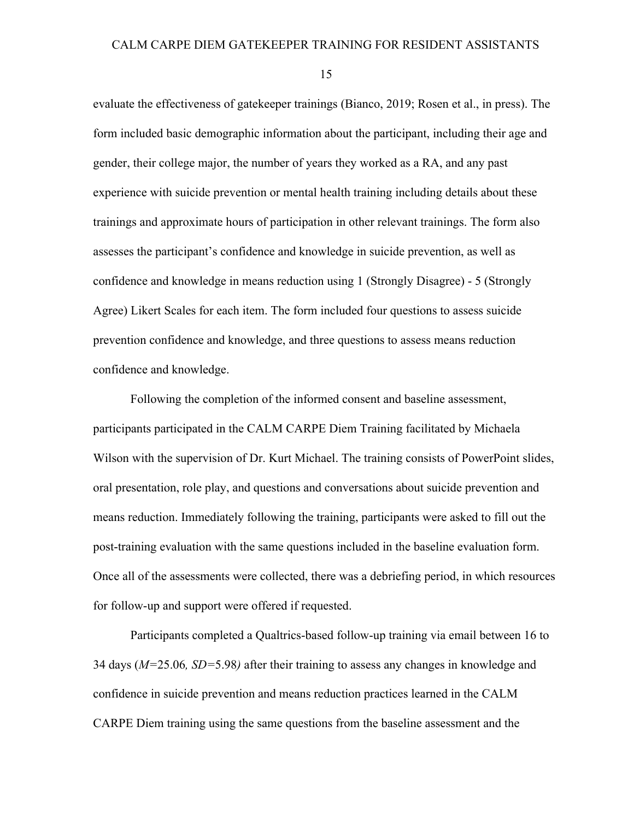evaluate the effectiveness of gatekeeper trainings (Bianco, 2019; Rosen et al., in press). The form included basic demographic information about the participant, including their age and gender, their college major, the number of years they worked as a RA, and any past experience with suicide prevention or mental health training including details about these trainings and approximate hours of participation in other relevant trainings. The form also assesses the participant's confidence and knowledge in suicide prevention, as well as confidence and knowledge in means reduction using 1 (Strongly Disagree) - 5 (Strongly Agree) Likert Scales for each item. The form included four questions to assess suicide prevention confidence and knowledge, and three questions to assess means reduction confidence and knowledge.

Following the completion of the informed consent and baseline assessment, participants participated in the CALM CARPE Diem Training facilitated by Michaela Wilson with the supervision of Dr. Kurt Michael. The training consists of PowerPoint slides, oral presentation, role play, and questions and conversations about suicide prevention and means reduction. Immediately following the training, participants were asked to fill out the post-training evaluation with the same questions included in the baseline evaluation form. Once all of the assessments were collected, there was a debriefing period, in which resources for follow-up and support were offered if requested.

Participants completed a Qualtrics-based follow-up training via email between 16 to 34 days (*M=*25.06*, SD=*5.98*)* after their training to assess any changes in knowledge and confidence in suicide prevention and means reduction practices learned in the CALM CARPE Diem training using the same questions from the baseline assessment and the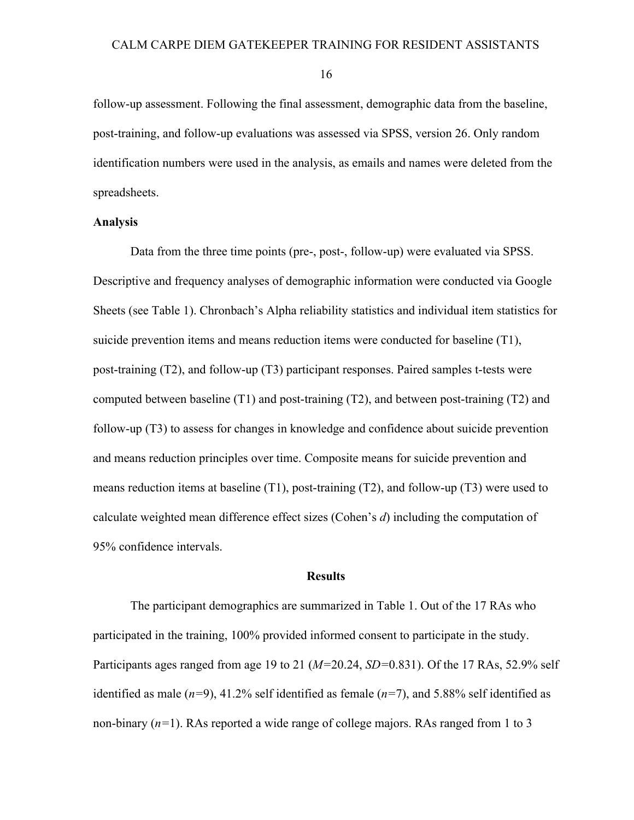follow-up assessment. Following the final assessment, demographic data from the baseline, post-training, and follow-up evaluations was assessed via SPSS, version 26. Only random identification numbers were used in the analysis, as emails and names were deleted from the spreadsheets.

## **Analysis**

Data from the three time points (pre-, post-, follow-up) were evaluated via SPSS. Descriptive and frequency analyses of demographic information were conducted via Google Sheets (see Table 1). Chronbach's Alpha reliability statistics and individual item statistics for suicide prevention items and means reduction items were conducted for baseline (T1), post-training (T2), and follow-up (T3) participant responses. Paired samples t-tests were computed between baseline (T1) and post-training (T2), and between post-training (T2) and follow-up (T3) to assess for changes in knowledge and confidence about suicide prevention and means reduction principles over time. Composite means for suicide prevention and means reduction items at baseline (T1), post-training (T2), and follow-up (T3) were used to calculate weighted mean difference effect sizes (Cohen's *d*) including the computation of 95% confidence intervals.

#### **Results**

The participant demographics are summarized in Table 1. Out of the 17 RAs who participated in the training, 100% provided informed consent to participate in the study. Participants ages ranged from age 19 to 21 (*M=*20.24, *SD=*0.831). Of the 17 RAs, 52.9% self identified as male  $(n=9)$ , 41.2% self identified as female  $(n=7)$ , and 5.88% self identified as non-binary (*n=*1). RAs reported a wide range of college majors. RAs ranged from 1 to 3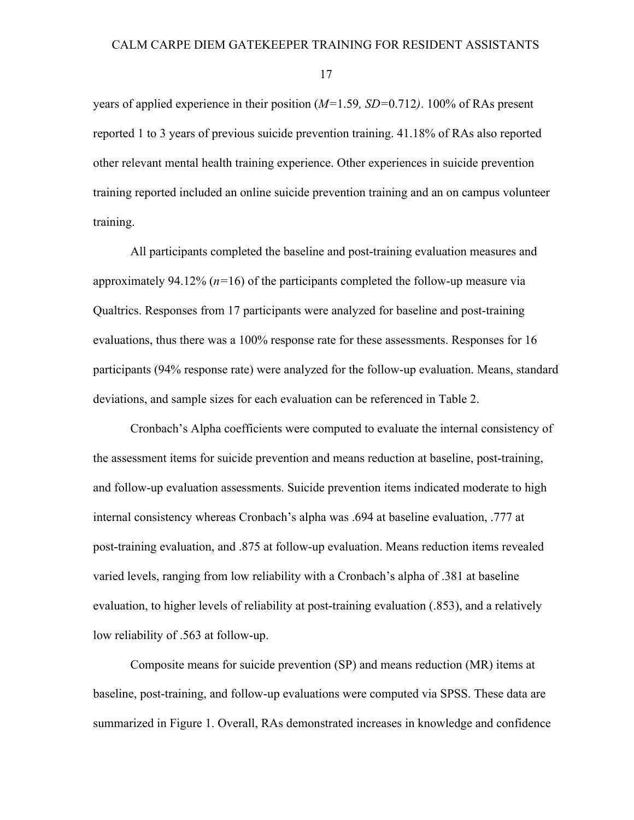years of applied experience in their position (*M=*1.59*, SD=*0.712*)*. 100% of RAs present reported 1 to 3 years of previous suicide prevention training. 41.18% of RAs also reported other relevant mental health training experience. Other experiences in suicide prevention training reported included an online suicide prevention training and an on campus volunteer training.

All participants completed the baseline and post-training evaluation measures and approximately 94.12% (*n=*16) of the participants completed the follow-up measure via Qualtrics. Responses from 17 participants were analyzed for baseline and post-training evaluations, thus there was a 100% response rate for these assessments. Responses for 16 participants (94% response rate) were analyzed for the follow-up evaluation. Means, standard deviations, and sample sizes for each evaluation can be referenced in Table 2.

Cronbach's Alpha coefficients were computed to evaluate the internal consistency of the assessment items for suicide prevention and means reduction at baseline, post-training, and follow-up evaluation assessments. Suicide prevention items indicated moderate to high internal consistency whereas Cronbach's alpha was .694 at baseline evaluation, .777 at post-training evaluation, and .875 at follow-up evaluation. Means reduction items revealed varied levels, ranging from low reliability with a Cronbach's alpha of .381 at baseline evaluation, to higher levels of reliability at post-training evaluation (.853), and a relatively low reliability of .563 at follow-up.

Composite means for suicide prevention (SP) and means reduction (MR) items at baseline, post-training, and follow-up evaluations were computed via SPSS. These data are summarized in Figure 1. Overall, RAs demonstrated increases in knowledge and confidence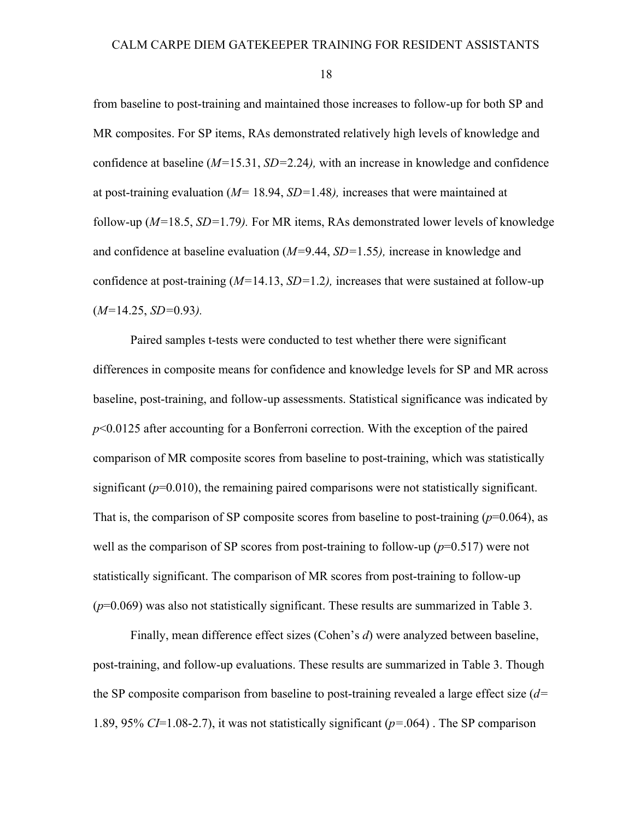from baseline to post-training and maintained those increases to follow-up for both SP and MR composites. For SP items, RAs demonstrated relatively high levels of knowledge and confidence at baseline (*M=*15.31, *SD=*2.24*),* with an increase in knowledge and confidence at post-training evaluation (*M=* 18.94, *SD=*1.48*),* increases that were maintained at follow-up (*M=*18.5, *SD=*1.79*).* For MR items, RAs demonstrated lower levels of knowledge and confidence at baseline evaluation (*M=*9.44, *SD=*1.55*),* increase in knowledge and confidence at post-training (*M=*14.13, *SD=*1.2*),* increases that were sustained at follow-up (*M=*14.25, *SD=*0.93*).*

Paired samples t-tests were conducted to test whether there were significant differences in composite means for confidence and knowledge levels for SP and MR across baseline, post-training, and follow-up assessments. Statistical significance was indicated by *p*<0.0125 after accounting for a Bonferroni correction. With the exception of the paired comparison of MR composite scores from baseline to post-training, which was statistically significant ( $p=0.010$ ), the remaining paired comparisons were not statistically significant. That is, the comparison of SP composite scores from baseline to post-training  $(p=0.064)$ , as well as the comparison of SP scores from post-training to follow-up  $(p=0.517)$  were not statistically significant. The comparison of MR scores from post-training to follow-up (*p*=0.069) was also not statistically significant. These results are summarized in Table 3.

Finally, mean difference effect sizes (Cohen's *d*) were analyzed between baseline, post-training, and follow-up evaluations. These results are summarized in Table 3. Though the SP composite comparison from baseline to post-training revealed a large effect size (*d=* 1.89, 95% *CI*=1.08-2.7), it was not statistically significant (*p=*.064) . The SP comparison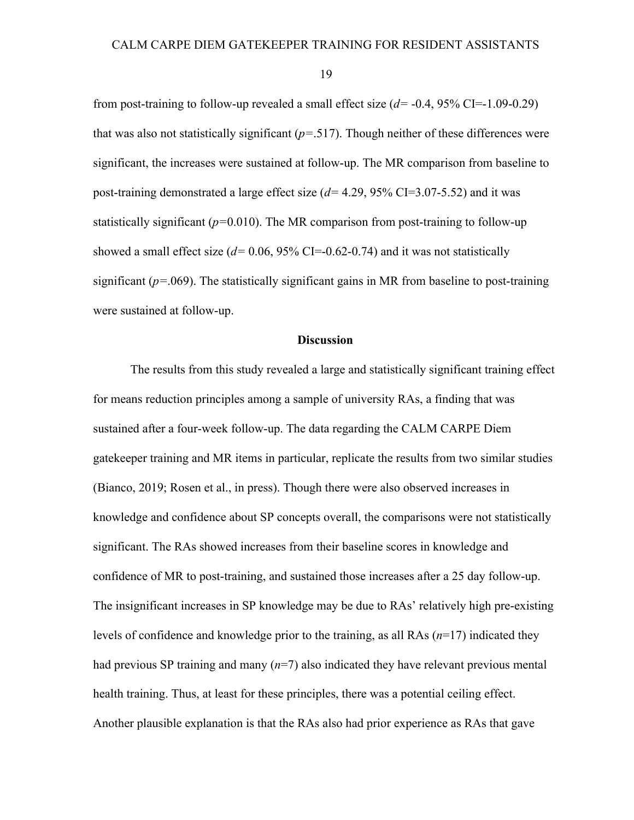from post-training to follow-up revealed a small effect size (*d=* -0.4, 95% CI=-1.09-0.29) that was also not statistically significant (*p=*.517). Though neither of these differences were significant, the increases were sustained at follow-up. The MR comparison from baseline to post-training demonstrated a large effect size (*d=* 4.29, 95% CI=3.07-5.52) and it was statistically significant  $(p=0.010)$ . The MR comparison from post-training to follow-up showed a small effect size  $(d= 0.06, 95\% \text{ CI} = -0.62 - 0.74)$  and it was not statistically significant ( $p=0.069$ ). The statistically significant gains in MR from baseline to post-training were sustained at follow-up.

#### **Discussion**

The results from this study revealed a large and statistically significant training effect for means reduction principles among a sample of university RAs, a finding that was sustained after a four-week follow-up. The data regarding the CALM CARPE Diem gatekeeper training and MR items in particular, replicate the results from two similar studies (Bianco, 2019; Rosen et al., in press). Though there were also observed increases in knowledge and confidence about SP concepts overall, the comparisons were not statistically significant. The RAs showed increases from their baseline scores in knowledge and confidence of MR to post-training, and sustained those increases after a 25 day follow-up. The insignificant increases in SP knowledge may be due to RAs' relatively high pre-existing levels of confidence and knowledge prior to the training, as all RAs (*n*=17) indicated they had previous SP training and many (*n*=7) also indicated they have relevant previous mental health training. Thus, at least for these principles, there was a potential ceiling effect. Another plausible explanation is that the RAs also had prior experience as RAs that gave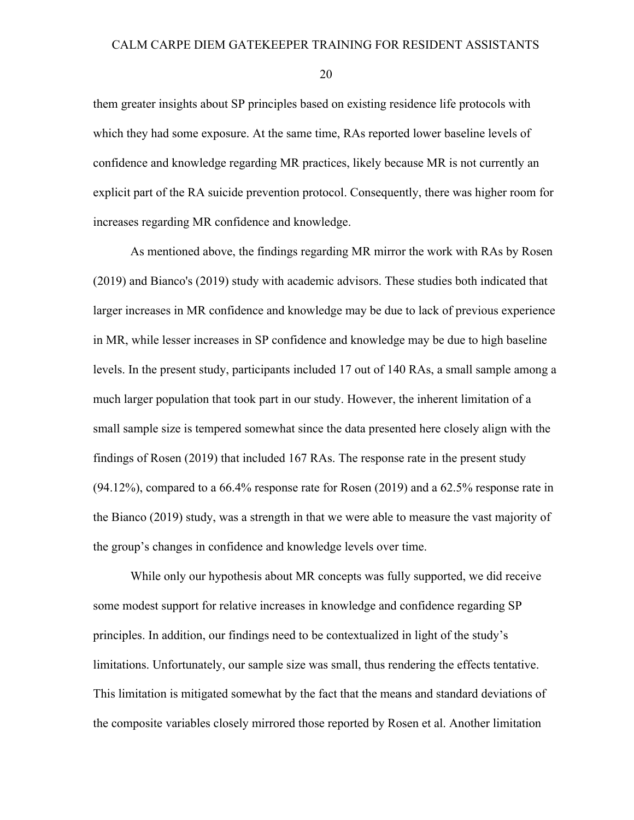them greater insights about SP principles based on existing residence life protocols with which they had some exposure. At the same time, RAs reported lower baseline levels of confidence and knowledge regarding MR practices, likely because MR is not currently an explicit part of the RA suicide prevention protocol. Consequently, there was higher room for increases regarding MR confidence and knowledge.

As mentioned above, the findings regarding MR mirror the work with RAs by Rosen (2019) and Bianco's (2019) study with academic advisors. These studies both indicated that larger increases in MR confidence and knowledge may be due to lack of previous experience in MR, while lesser increases in SP confidence and knowledge may be due to high baseline levels. In the present study, participants included 17 out of 140 RAs, a small sample among a much larger population that took part in our study. However, the inherent limitation of a small sample size is tempered somewhat since the data presented here closely align with the findings of Rosen (2019) that included 167 RAs. The response rate in the present study (94.12%), compared to a 66.4% response rate for Rosen (2019) and a 62.5% response rate in the Bianco (2019) study, was a strength in that we were able to measure the vast majority of the group's changes in confidence and knowledge levels over time.

While only our hypothesis about MR concepts was fully supported, we did receive some modest support for relative increases in knowledge and confidence regarding SP principles. In addition, our findings need to be contextualized in light of the study's limitations. Unfortunately, our sample size was small, thus rendering the effects tentative. This limitation is mitigated somewhat by the fact that the means and standard deviations of the composite variables closely mirrored those reported by Rosen et al. Another limitation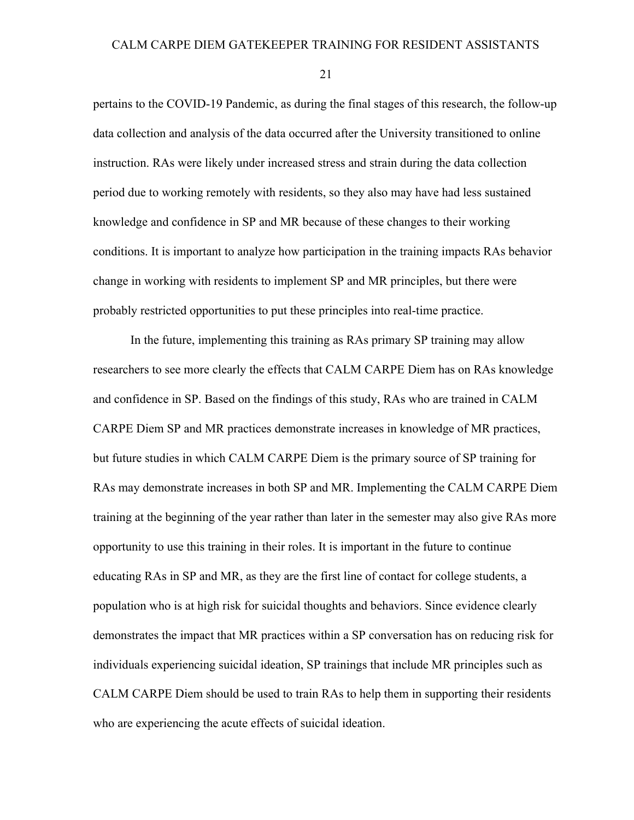pertains to the COVID-19 Pandemic, as during the final stages of this research, the follow-up data collection and analysis of the data occurred after the University transitioned to online instruction. RAs were likely under increased stress and strain during the data collection period due to working remotely with residents, so they also may have had less sustained knowledge and confidence in SP and MR because of these changes to their working conditions. It is important to analyze how participation in the training impacts RAs behavior change in working with residents to implement SP and MR principles, but there were probably restricted opportunities to put these principles into real-time practice.

In the future, implementing this training as RAs primary SP training may allow researchers to see more clearly the effects that CALM CARPE Diem has on RAs knowledge and confidence in SP. Based on the findings of this study, RAs who are trained in CALM CARPE Diem SP and MR practices demonstrate increases in knowledge of MR practices, but future studies in which CALM CARPE Diem is the primary source of SP training for RAs may demonstrate increases in both SP and MR. Implementing the CALM CARPE Diem training at the beginning of the year rather than later in the semester may also give RAs more opportunity to use this training in their roles. It is important in the future to continue educating RAs in SP and MR, as they are the first line of contact for college students, a population who is at high risk for suicidal thoughts and behaviors. Since evidence clearly demonstrates the impact that MR practices within a SP conversation has on reducing risk for individuals experiencing suicidal ideation, SP trainings that include MR principles such as CALM CARPE Diem should be used to train RAs to help them in supporting their residents who are experiencing the acute effects of suicidal ideation.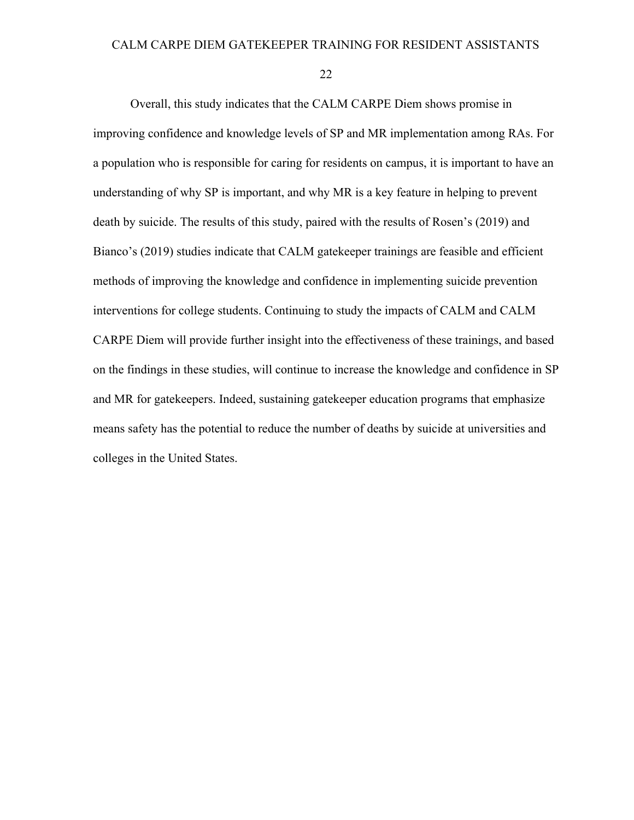#### CALM CARPE DIEM GATEKEEPER TRAINING FOR RESIDENT ASSISTANTS

22

Overall, this study indicates that the CALM CARPE Diem shows promise in improving confidence and knowledge levels of SP and MR implementation among RAs. For a population who is responsible for caring for residents on campus, it is important to have an understanding of why SP is important, and why MR is a key feature in helping to prevent death by suicide. The results of this study, paired with the results of Rosen's (2019) and Bianco's (2019) studies indicate that CALM gatekeeper trainings are feasible and efficient methods of improving the knowledge and confidence in implementing suicide prevention interventions for college students. Continuing to study the impacts of CALM and CALM CARPE Diem will provide further insight into the effectiveness of these trainings, and based on the findings in these studies, will continue to increase the knowledge and confidence in SP and MR for gatekeepers. Indeed, sustaining gatekeeper education programs that emphasize means safety has the potential to reduce the number of deaths by suicide at universities and colleges in the United States.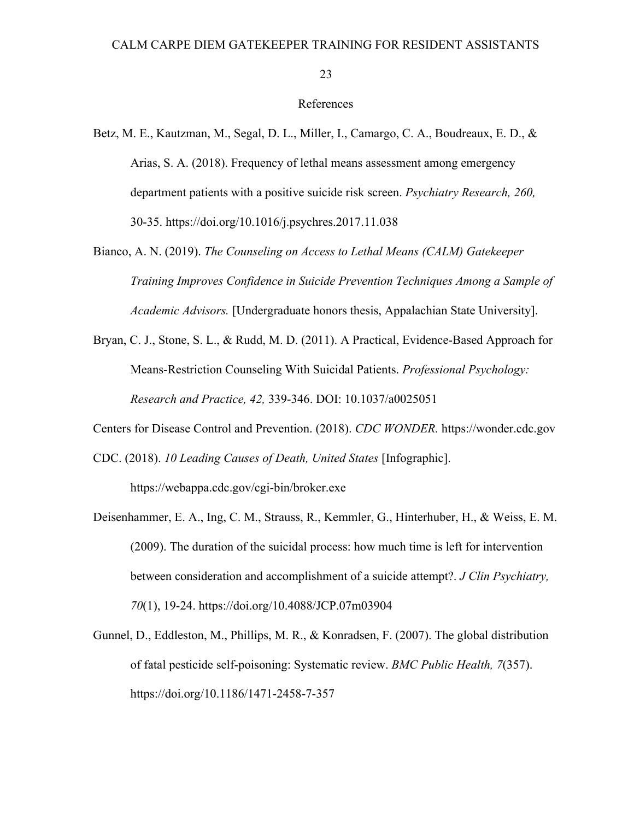#### References

- Betz, M. E., Kautzman, M., Segal, D. L., Miller, I., Camargo, C. A., Boudreaux, E. D., & Arias, S. A. (2018). Frequency of lethal means assessment among emergency department patients with a positive suicide risk screen. *Psychiatry Research, 260,* 30-35. https://doi.org/10.1016/j.psychres.2017.11.038
- Bianco, A. N. (2019). *The Counseling on Access to Lethal Means (CALM) Gatekeeper Training Improves Confidence in Suicide Prevention Techniques Among a Sample of Academic Advisors.* [Undergraduate honors thesis, Appalachian State University].
- Bryan, C. J., Stone, S. L., & Rudd, M. D. (2011). A Practical, Evidence-Based Approach for Means-Restriction Counseling With Suicidal Patients. *Professional Psychology: Research and Practice, 42,* 339-346. DOI: 10.1037/a0025051

Centers for Disease Control and Prevention. (2018). *CDC WONDER.* https://wonder.cdc.gov

- CDC. (2018). *10 Leading Causes of Death, United States* [Infographic]. https://webappa.cdc.gov/cgi-bin/broker.exe
- Deisenhammer, E. A., Ing, C. M., Strauss, R., Kemmler, G., Hinterhuber, H., & Weiss, E. M. (2009). The duration of the suicidal process: how much time is left for intervention between consideration and accomplishment of a suicide attempt?. *J Clin Psychiatry, 70*(1), 19-24. https://doi.org/10.4088/JCP.07m03904
- Gunnel, D., Eddleston, M., Phillips, M. R., & Konradsen, F. (2007). The global distribution of fatal pesticide self-poisoning: Systematic review. *BMC Public Health, 7*(357). https://doi.org/10.1186/1471-2458-7-357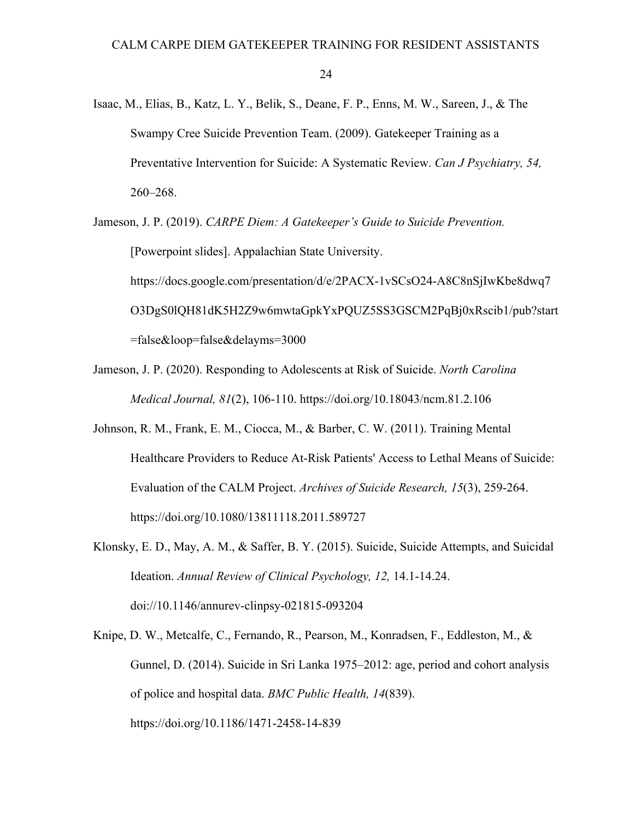Isaac, M., Elias, B., Katz, L. Y., Belik, S., Deane, F. P., Enns, M. W., Sareen, J., & The Swampy Cree Suicide Prevention Team. (2009). Gatekeeper Training as a Preventative Intervention for Suicide: A Systematic Review. *Can J Psychiatry, 54,* 260–268.

Jameson, J. P. (2019). *CARPE Diem: A Gatekeeper's Guide to Suicide Prevention.* [Powerpoint slides]. Appalachian State University. https://docs.google.com/presentation/d/e/2PACX-1vSCsO24-A8C8nSjIwKbe8dwq7 O3DgS0lQH81dK5H2Z9w6mwtaGpkYxPQUZ5SS3GSCM2PqBj0xRscib1/pub?start =false&loop=false&delayms=3000

- Jameson, J. P. (2020). Responding to Adolescents at Risk of Suicide. *North Carolina Medical Journal, 81*(2), 106-110. https://doi.org/10.18043/ncm.81.2.106
- Johnson, R. M., Frank, E. M., Ciocca, M., & Barber, C. W. (2011). Training Mental Healthcare Providers to Reduce At-Risk Patients' Access to Lethal Means of Suicide: Evaluation of the CALM Project. *Archives of Suicide Research, 15*(3), 259-264. https://doi.org/10.1080/13811118.2011.589727
- Klonsky, E. D., May, A. M., & Saffer, B. Y. (2015). Suicide, Suicide Attempts, and Suicidal Ideation. *Annual Review of Clinical Psychology, 12,* 14.1-14.24. doi://10.1146/annurev-clinpsy-021815-093204
- Knipe, D. W., Metcalfe, C., Fernando, R., Pearson, M., Konradsen, F., Eddleston, M., & Gunnel, D. (2014). Suicide in Sri Lanka 1975–2012: age, period and cohort analysis of police and hospital data. *BMC Public Health, 14*(839). https://doi.org/10.1186/1471-2458-14-839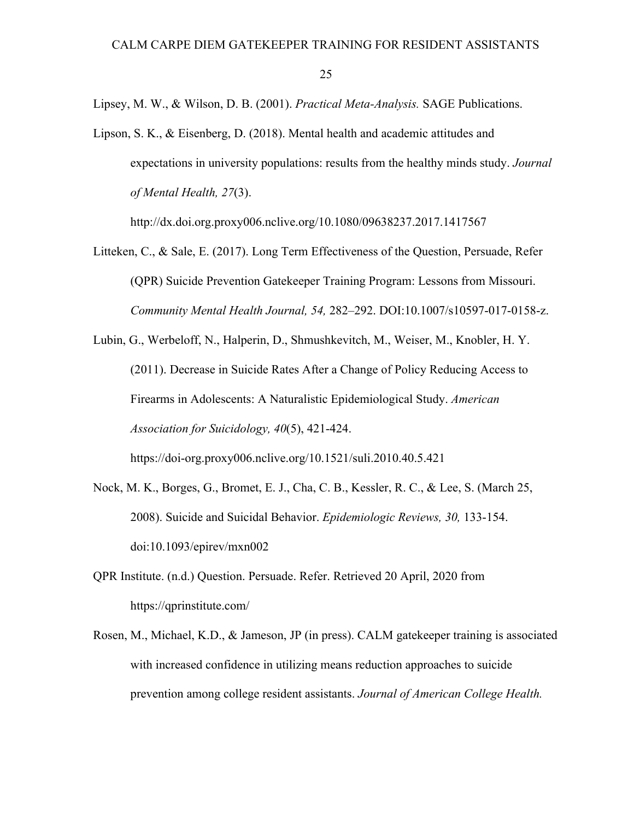Lipsey, M. W., & Wilson, D. B. (2001). *Practical Meta-Analysis.* SAGE Publications.

Lipson, S. K., & Eisenberg, D. (2018). Mental health and academic attitudes and expectations in university populations: results from the healthy minds study. *Journal of Mental Health, 27*(3).

http://dx.doi.org.proxy006.nclive.org/10.1080/09638237.2017.1417567

- Litteken, C., & Sale, E. (2017). Long Term Effectiveness of the Question, Persuade, Refer (QPR) Suicide Prevention Gatekeeper Training Program: Lessons from Missouri. *Community Mental Health Journal, 54,* 282–292. DOI:10.1007/s10597-017-0158-z.
- Lubin, G., Werbeloff, N., Halperin, D., Shmushkevitch, M., Weiser, M., Knobler, H. Y. (2011). Decrease in Suicide Rates After a Change of Policy Reducing Access to Firearms in Adolescents: A Naturalistic Epidemiological Study. *American Association for Suicidology, 40*(5), 421-424.
	- https://doi-org.proxy006.nclive.org/10.1521/suli.2010.40.5.421
- Nock, M. K., Borges, G., Bromet, E. J., Cha, C. B., Kessler, R. C., & Lee, S. (March 25, 2008). Suicide and Suicidal Behavior. *Epidemiologic Reviews, 30,* 133-154. doi:10.1093/epirev/mxn002
- QPR Institute. (n.d.) Question. Persuade. Refer. Retrieved 20 April, 2020 from https://qprinstitute.com/
- Rosen, M., Michael, K.D., & Jameson, JP (in press). CALM gatekeeper training is associated with increased confidence in utilizing means reduction approaches to suicide prevention among college resident assistants. *Journal of American College Health.*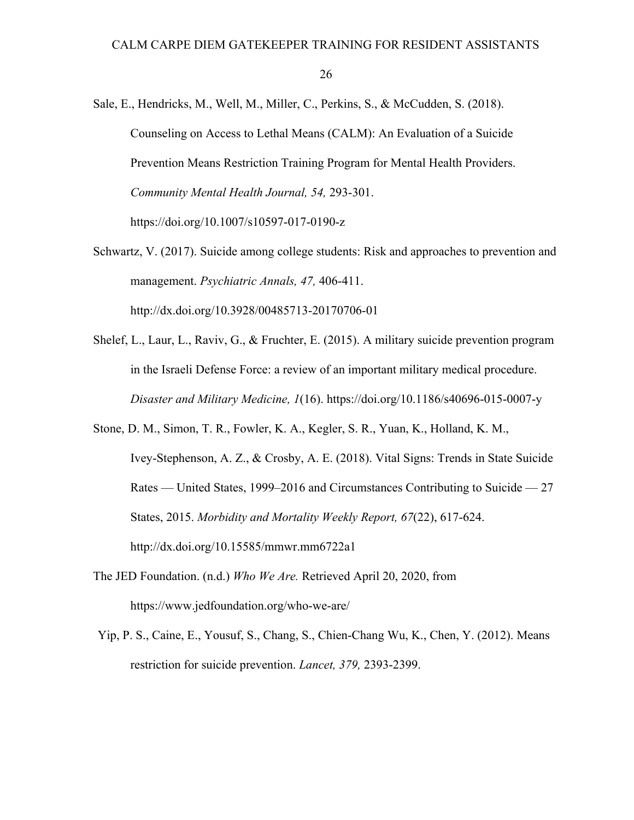- Sale, E., Hendricks, M., Well, M., Miller, C., Perkins, S., & McCudden, S. (2018). Counseling on Access to Lethal Means (CALM): An Evaluation of a Suicide Prevention Means Restriction Training Program for Mental Health Providers. *Community Mental Health Journal, 54,* 293-301. https://doi.org/10.1007/s10597-017-0190-z
- Schwartz, V. (2017). Suicide among college students: Risk and approaches to prevention and management. *Psychiatric Annals, 47,* 406-411. http://dx.doi.org/10.3928/00485713-20170706-01
- Shelef, L., Laur, L., Raviv, G., & Fruchter, E. (2015). A military suicide prevention program in the Israeli Defense Force: a review of an important military medical procedure. *Disaster and Military Medicine, 1*(16). https://doi.org/10.1186/s40696-015-0007-y
- Stone, D. M., Simon, T. R., Fowler, K. A., Kegler, S. R., Yuan, K., Holland, K. M., Ivey-Stephenson, A. Z., & Crosby, A. E. (2018). Vital Signs: Trends in State Suicide Rates — United States, 1999–2016 and Circumstances Contributing to Suicide — 27 States, 2015. *Morbidity and Mortality Weekly Report, 67*(22), 617-624. http://dx.doi.org/10.15585/mmwr.mm6722a1
- The JED Foundation. (n.d.) *Who We Are.* Retrieved April 20, 2020, from https://www.jedfoundation.org/who-we-are/
- Yip, P. S., Caine, E., Yousuf, S., Chang, S., Chien-Chang Wu, K., Chen, Y. (2012). Means restriction for suicide prevention. *Lancet, 379,* 2393-2399.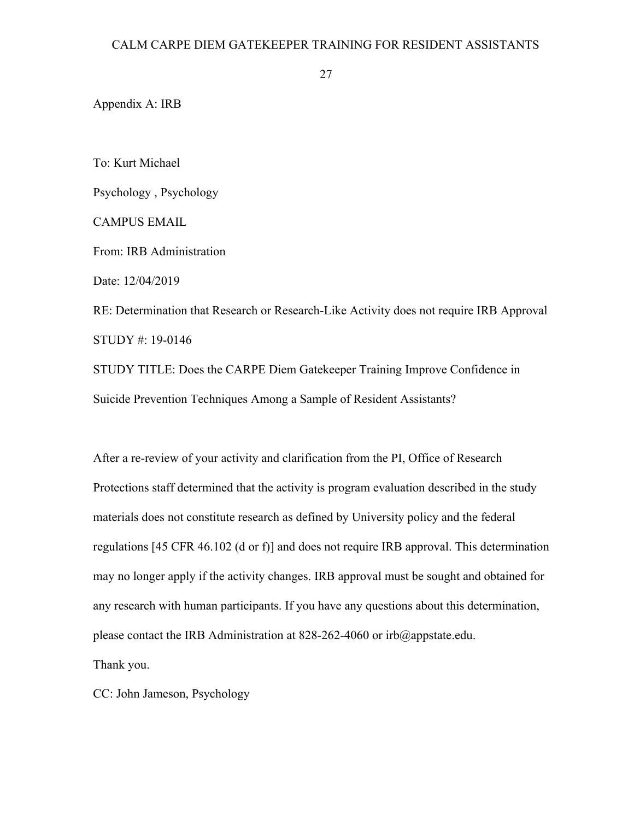Appendix A: IRB

To: Kurt Michael

Psychology , Psychology

CAMPUS EMAIL

From: IRB Administration

Date: 12/04/2019

RE: Determination that Research or Research-Like Activity does not require IRB Approval STUDY #: 19-0146

STUDY TITLE: Does the CARPE Diem Gatekeeper Training Improve Confidence in Suicide Prevention Techniques Among a Sample of Resident Assistants?

After a re-review of your activity and clarification from the PI, Office of Research Protections staff determined that the activity is program evaluation described in the study materials does not constitute research as defined by University policy and the federal regulations [45 CFR 46.102 (d or f)] and does not require IRB approval. This determination may no longer apply if the activity changes. IRB approval must be sought and obtained for any research with human participants. If you have any questions about this determination, please contact the IRB Administration at 828-262-4060 or irb@appstate.edu.

Thank you.

CC: John Jameson, Psychology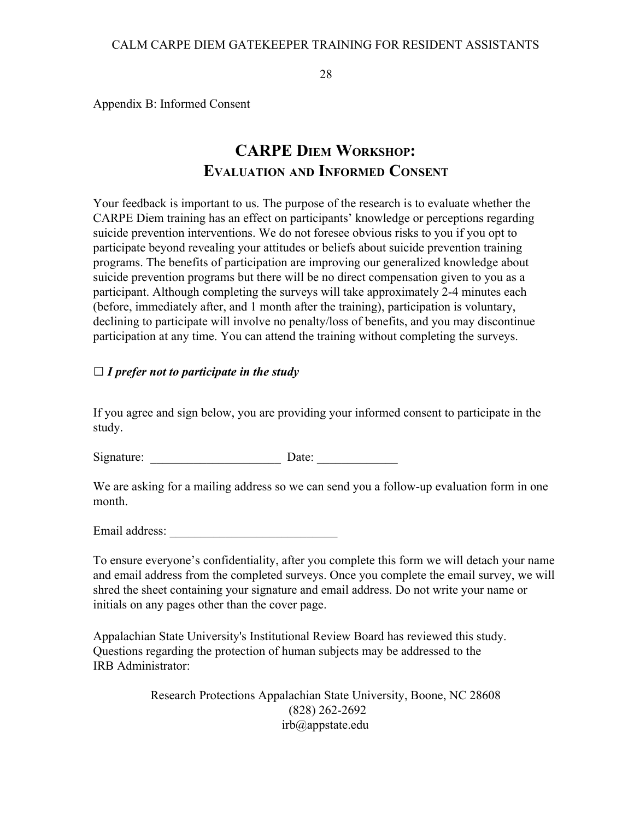Appendix B: Informed Consent

# **CARPE DIEM WORKSHOP: EVALUATION AND INFORMED CONSENT**

Your feedback is important to us. The purpose of the research is to evaluate whether the CARPE Diem training has an effect on participants' knowledge or perceptions regarding suicide prevention interventions. We do not foresee obvious risks to you if you opt to participate beyond revealing your attitudes or beliefs about suicide prevention training programs. The benefits of participation are improving our generalized knowledge about suicide prevention programs but there will be no direct compensation given to you as a participant. Although completing the surveys will take approximately 2-4 minutes each (before, immediately after, and 1 month after the training), participation is voluntary, declining to participate will involve no penalty/loss of benefits, and you may discontinue participation at any time. You can attend the training without completing the surveys.

## *□ I prefer not to participate in the study*

If you agree and sign below, you are providing your informed consent to participate in the study.

Signature: \_\_\_\_\_\_\_\_\_\_\_\_\_\_\_\_\_\_\_\_\_ Date: \_\_\_\_\_\_\_\_\_\_\_\_\_

We are asking for a mailing address so we can send you a follow-up evaluation form in one month.

Email address:

To ensure everyone's confidentiality, after you complete this form we will detach your name and email address from the completed surveys. Once you complete the email survey, we will shred the sheet containing your signature and email address. Do not write your name or initials on any pages other than the cover page.

Appalachian State University's Institutional Review Board has reviewed this study. Questions regarding the protection of human subjects may be addressed to the IRB Administrator:

> Research Protections Appalachian State University, Boone, NC 28608 (828) 262-2692 irb@appstate.edu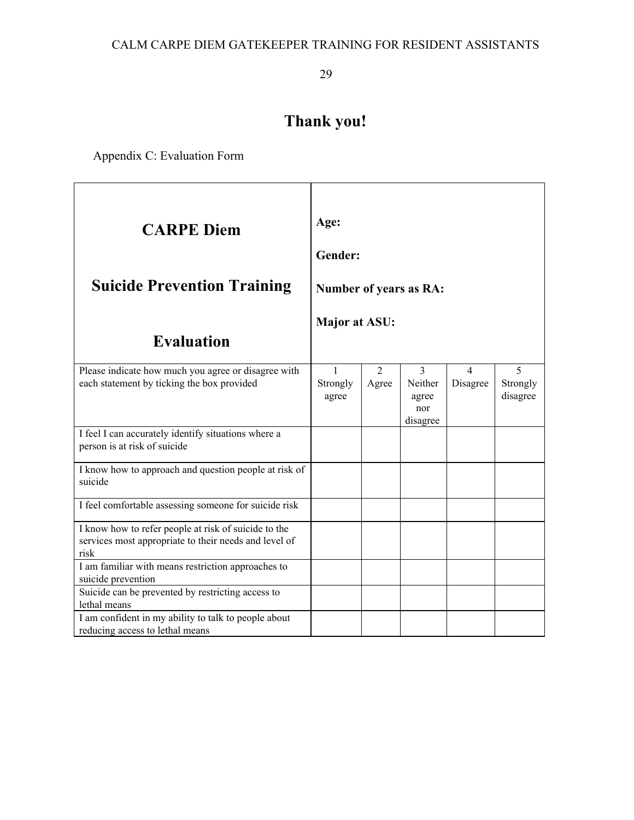# **Thank you!**

Appendix C: Evaluation Form

| <b>CARPE Diem</b><br><b>Suicide Prevention Training</b><br><b>Evaluation</b>                                          | Age:<br>Gender:<br><b>Number of years as RA:</b><br>Major at ASU: |                         |                                          |                      |                           |
|-----------------------------------------------------------------------------------------------------------------------|-------------------------------------------------------------------|-------------------------|------------------------------------------|----------------------|---------------------------|
| Please indicate how much you agree or disagree with<br>each statement by ticking the box provided                     | 1<br>Strongly<br>agree                                            | $\overline{2}$<br>Agree | 3<br>Neither<br>agree<br>nor<br>disagree | $\Delta$<br>Disagree | 5<br>Strongly<br>disagree |
| I feel I can accurately identify situations where a<br>person is at risk of suicide                                   |                                                                   |                         |                                          |                      |                           |
| I know how to approach and question people at risk of<br>suicide                                                      |                                                                   |                         |                                          |                      |                           |
| I feel comfortable assessing someone for suicide risk                                                                 |                                                                   |                         |                                          |                      |                           |
| I know how to refer people at risk of suicide to the<br>services most appropriate to their needs and level of<br>risk |                                                                   |                         |                                          |                      |                           |
| I am familiar with means restriction approaches to<br>suicide prevention                                              |                                                                   |                         |                                          |                      |                           |
| Suicide can be prevented by restricting access to<br>lethal means                                                     |                                                                   |                         |                                          |                      |                           |
| I am confident in my ability to talk to people about<br>reducing access to lethal means                               |                                                                   |                         |                                          |                      |                           |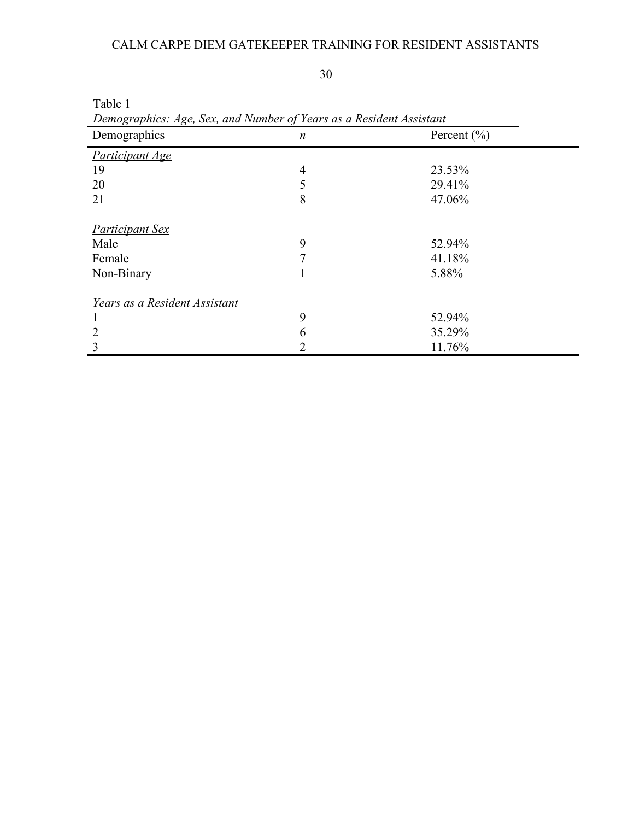## CALM CARPE DIEM GATEKEEPER TRAINING FOR RESIDENT ASSISTANTS

30

| Table 1<br>Demographics: Age, Sex, and Number of Years as a Resident Assistant |                |                 |  |  |
|--------------------------------------------------------------------------------|----------------|-----------------|--|--|
| Demographics                                                                   | n              | Percent $(\% )$ |  |  |
| <b>Participant Age</b>                                                         |                |                 |  |  |
| 19                                                                             | $\overline{4}$ | 23.53%          |  |  |
| 20                                                                             | 5              | 29.41%          |  |  |
| 21                                                                             | 8              | 47.06%          |  |  |
| <b>Participant Sex</b>                                                         |                |                 |  |  |
| Male                                                                           | 9              | 52.94%          |  |  |
| Female                                                                         | 7              | 41.18%          |  |  |
| Non-Binary                                                                     | 1              | 5.88%           |  |  |
| Years as a Resident Assistant                                                  |                |                 |  |  |
|                                                                                | 9              | 52.94%          |  |  |
| 2                                                                              | 6              | 35.29%          |  |  |
| 3                                                                              | 2              | 11.76%          |  |  |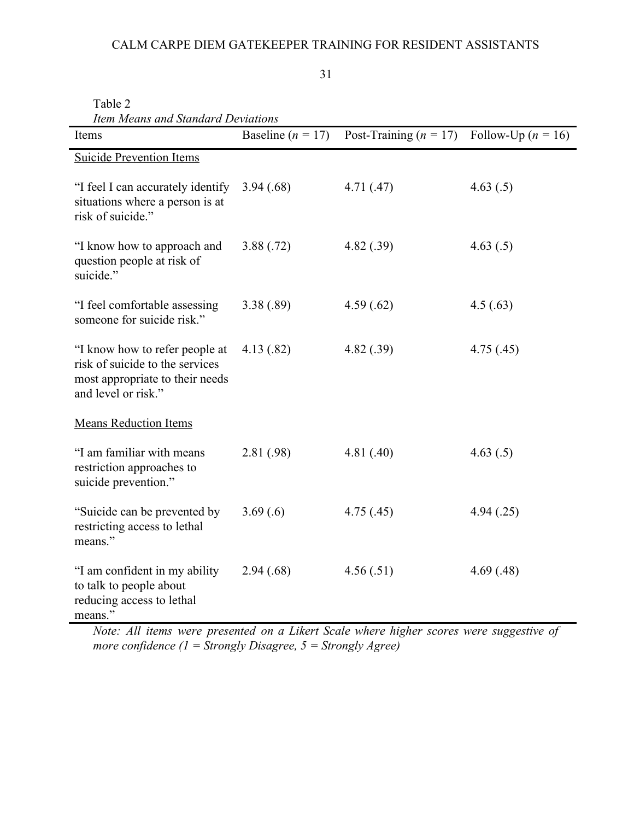## CALM CARPE DIEM GATEKEEPER TRAINING FOR RESIDENT ASSISTANTS

31

Table 2

| Item Means and Standard Deviations                                                                                          |                       |                                               |            |  |  |
|-----------------------------------------------------------------------------------------------------------------------------|-----------------------|-----------------------------------------------|------------|--|--|
| Items                                                                                                                       | Baseline ( $n = 17$ ) | Post-Training $(n = 17)$ Follow-Up $(n = 16)$ |            |  |  |
| <b>Suicide Prevention Items</b>                                                                                             |                       |                                               |            |  |  |
| "I feel I can accurately identify<br>situations where a person is at<br>risk of suicide."                                   | 3.94(.68)             | 4.71(0.47)                                    | 4.63(.5)   |  |  |
| "I know how to approach and<br>question people at risk of<br>suicide."                                                      | 3.88(.72)             | 4.82(.39)                                     | 4.63(.5)   |  |  |
| "I feel comfortable assessing<br>someone for suicide risk."                                                                 | 3.38(.89)             | 4.59(.62)                                     | 4.5(0.63)  |  |  |
| "I know how to refer people at<br>risk of suicide to the services<br>most appropriate to their needs<br>and level or risk." | 4.13(.82)             | 4.82(.39)                                     | 4.75(.45)  |  |  |
| <b>Means Reduction Items</b>                                                                                                |                       |                                               |            |  |  |
| "I am familiar with means<br>restriction approaches to<br>suicide prevention."                                              | 2.81 (.98)            | 4.81(.40)                                     | 4.63(.5)   |  |  |
| "Suicide can be prevented by<br>restricting access to lethal<br>means."                                                     | 3.69(.6)              | 4.75(.45)                                     | 4.94(.25)  |  |  |
| "I am confident in my ability<br>to talk to people about<br>reducing access to lethal<br>means."                            | 2.94(.68)             | 4.56(.51)                                     | 4.69(0.48) |  |  |

*Note: All items were presented on a Likert Scale where higher scores were suggestive of more confidence (1 = Strongly Disagree, 5 = Strongly Agree)*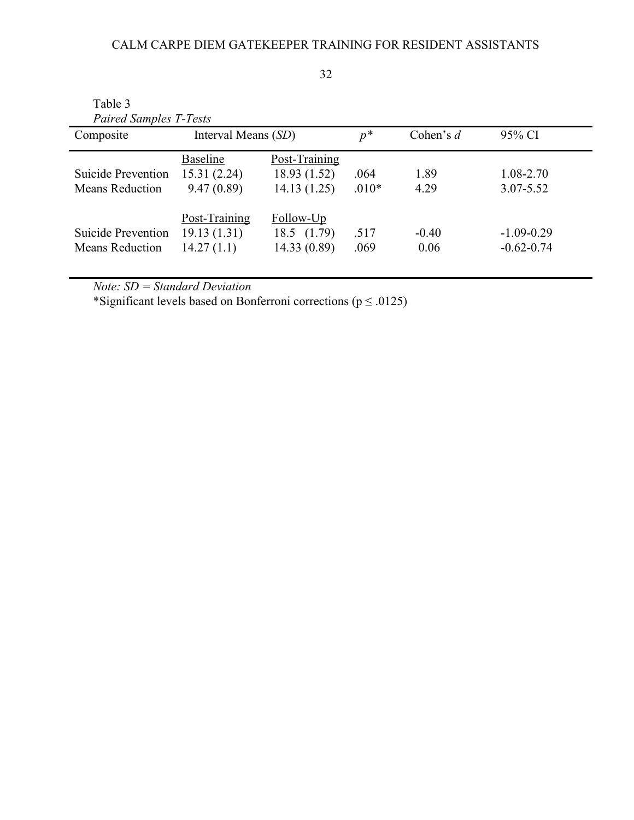| Table 3                                      |                              |                              |                 |              |                                |
|----------------------------------------------|------------------------------|------------------------------|-----------------|--------------|--------------------------------|
| <b>Paired Samples T-Tests</b><br>Composite   | Interval Means (SD)          |                              | $p^*$           | Cohen's $d$  | 95% CI                         |
|                                              | <b>Baseline</b>              | Post-Training                |                 |              |                                |
| Suicide Prevention<br><b>Means Reduction</b> | 15.31(2.24)                  | 18.93 (1.52)                 | .064<br>$.010*$ | 1.89<br>4.29 | $1.08 - 2.70$<br>$3.07 - 5.52$ |
|                                              | 9.47(0.89)                   | 14.13(1.25)                  |                 |              |                                |
| Suicide Prevention                           | Post-Training<br>19.13(1.31) | Follow-Up<br>$18.5$ $(1.79)$ | .517            | $-0.40$      | $-1.09 - 0.29$                 |
| <b>Means Reduction</b>                       | 14.27(1.1)                   | 14.33 (0.89)                 | .069            | 0.06         | $-0.62 - 0.74$                 |

*Note: SD = Standard Deviation*

\*Significant levels based on Bonferroni corrections ( $p \le 0.0125$ )